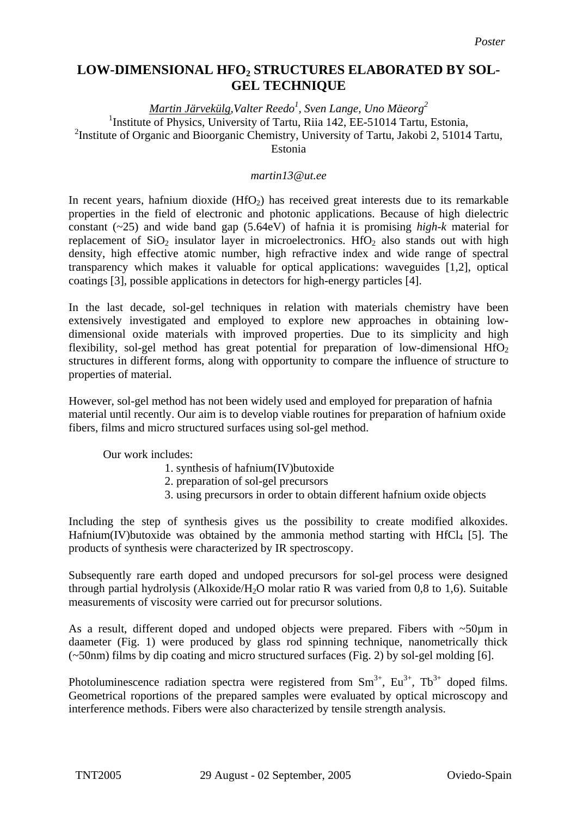## **LOW-DIMENSIONAL HFO2 STRUCTURES ELABORATED BY SOL-GEL TECHNIQUE**

*Martin Järvekülg,Valter Reedo1 , Sven Lange, Uno Mäeorg<sup>2</sup>* <sup>1</sup>Institute of Physics, University of Tartu, Riia 142, EE-51014 Tartu, Estonia, <sup>2</sup> Institute of Organic and Bioorganic Chemistry, University of Tartu, Jakobi 2, 51014 Tartu, Estonia

## *martin13@ut.ee*

In recent years, hafnium dioxide  $(HfO<sub>2</sub>)$  has received great interests due to its remarkable properties in the field of electronic and photonic applications. Because of high dielectric constant (~25) and wide band gap (5.64eV) of hafnia it is promising *high-k* material for replacement of  $SiO<sub>2</sub>$  insulator layer in microelectronics. HfO<sub>2</sub> also stands out with high density, high effective atomic number, high refractive index and wide range of spectral transparency which makes it valuable for optical applications: waveguides [1,2], optical coatings [3], possible applications in detectors for high-energy particles [4].

In the last decade, sol-gel techniques in relation with materials chemistry have been extensively investigated and employed to explore new approaches in obtaining lowdimensional oxide materials with improved properties. Due to its simplicity and high flexibility, sol-gel method has great potential for preparation of low-dimensional  $HfO<sub>2</sub>$ structures in different forms, along with opportunity to compare the influence of structure to properties of material.

However, sol-gel method has not been widely used and employed for preparation of hafnia material until recently. Our aim is to develop viable routines for preparation of hafnium oxide fibers, films and micro structured surfaces using sol-gel method.

Our work includes:

- 1. synthesis of hafnium(IV)butoxide
- 2. preparation of sol-gel precursors
- 3. using precursors in order to obtain different hafnium oxide objects

Including the step of synthesis gives us the possibility to create modified alkoxides. Hafnium(IV)butoxide was obtained by the ammonia method starting with HfCl<sub>4</sub> [5]. The products of synthesis were characterized by IR spectroscopy.

Subsequently rare earth doped and undoped precursors for sol-gel process were designed through partial hydrolysis (Alkoxide/H<sub>2</sub>O molar ratio R was varied from 0,8 to 1,6). Suitable measurements of viscosity were carried out for precursor solutions.

As a result, different doped and undoped objects were prepared. Fibers with ~50µm in daameter (Fig. 1) were produced by glass rod spinning technique, nanometrically thick (~50nm) films by dip coating and micro structured surfaces (Fig. 2) by sol-gel molding [6].

Photoluminescence radiation spectra were registered from  $Sm^{3+}$ ,  $Eu^{3+}$ ,  $Tv^{3+}$  doped films. Geometrical roportions of the prepared samples were evaluated by optical microscopy and interference methods. Fibers were also characterized by tensile strength analysis.